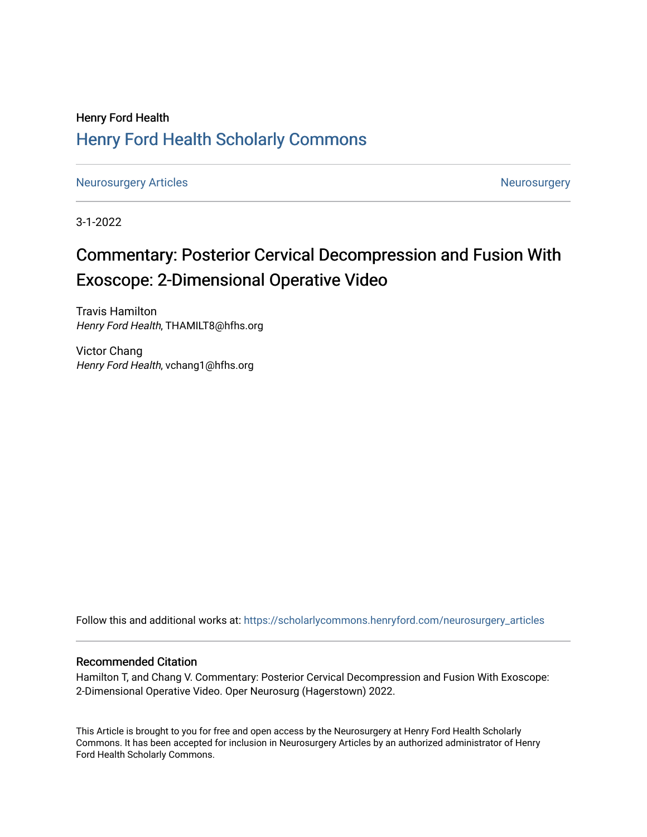## Henry Ford Health [Henry Ford Health Scholarly Commons](https://scholarlycommons.henryford.com/)

[Neurosurgery Articles](https://scholarlycommons.henryford.com/neurosurgery_articles) **Neurosurgery** Neurosurgery

3-1-2022

# Commentary: Posterior Cervical Decompression and Fusion With Exoscope: 2-Dimensional Operative Video

Travis Hamilton Henry Ford Health, THAMILT8@hfhs.org

Victor Chang Henry Ford Health, vchang1@hfhs.org

Follow this and additional works at: [https://scholarlycommons.henryford.com/neurosurgery\\_articles](https://scholarlycommons.henryford.com/neurosurgery_articles?utm_source=scholarlycommons.henryford.com%2Fneurosurgery_articles%2F438&utm_medium=PDF&utm_campaign=PDFCoverPages) 

## Recommended Citation

Hamilton T, and Chang V. Commentary: Posterior Cervical Decompression and Fusion With Exoscope: 2-Dimensional Operative Video. Oper Neurosurg (Hagerstown) 2022.

This Article is brought to you for free and open access by the Neurosurgery at Henry Ford Health Scholarly Commons. It has been accepted for inclusion in Neurosurgery Articles by an authorized administrator of Henry Ford Health Scholarly Commons.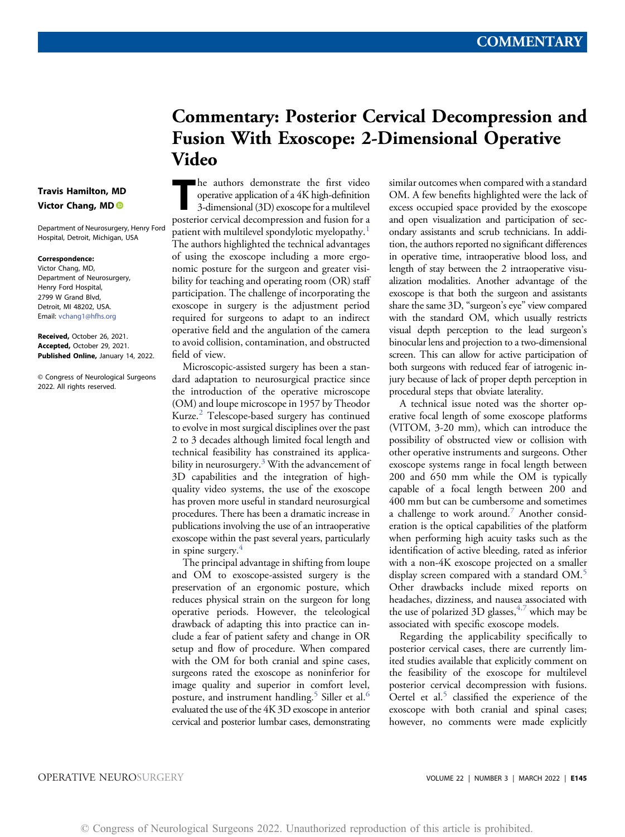## Commentary: Posterior Cervical Decompression and Fusion With Exoscope: 2-Dimensional Operative Video

The authors demonstrate the first video operative application of a 4K high-definition 3-dimensional (3D) exoscope for a multilevel posterior cervical decompression and fusion for a patient with multilevel spondylotic myelopathy.<sup>[1](#page-2-0)</sup> The authors highlighted the technical advantages of using the exoscope including a more ergonomic posture for the surgeon and greater visibility for teaching and operating room (OR) staff participation. The challenge of incorporating the exoscope in surgery is the adjustment period required for surgeons to adapt to an indirect operative field and the angulation of the camera to avoid collision, contamination, and obstructed field of view.

Microscopic-assisted surgery has been a standard adaptation to neurosurgical practice since the introduction of the operative microscope (OM) and loupe microscope in 1957 by Theodor Kurze.[2](#page-2-1) Telescope-based surgery has continued to evolve in most surgical disciplines over the past 2 to 3 decades although limited focal length and technical feasibility has constrained its applicability in neurosurgery. $3$  With the advancement of 3D capabilities and the integration of highquality video systems, the use of the exoscope has proven more useful in standard neurosurgical procedures. There has been a dramatic increase in publications involving the use of an intraoperative exoscope within the past several years, particularly in spine surgery. $4$ 

The principal advantage in shifting from loupe and OM to exoscope-assisted surgery is the preservation of an ergonomic posture, which reduces physical strain on the surgeon for long operative periods. However, the teleological drawback of adapting this into practice can include a fear of patient safety and change in OR setup and flow of procedure. When compared with the OM for both cranial and spine cases, surgeons rated the exoscope as noninferior for image quality and superior in comfort level, posture, and instrument handling.<sup>[5](#page-2-4)</sup> Siller et al.<sup>[6](#page-2-5)</sup> evaluated the use of the 4K 3D exoscope in anterior cervical and posterior lumbar cases, demonstrating similar outcomes when compared with a standard OM. A few benefits highlighted were the lack of excess occupied space provided by the exoscope and open visualization and participation of secondary assistants and scrub technicians. In addition, the authors reported no significant differences in operative time, intraoperative blood loss, and length of stay between the 2 intraoperative visualization modalities. Another advantage of the exoscope is that both the surgeon and assistants share the same 3D, "surgeon's eye" view compared with the standard OM, which usually restricts visual depth perception to the lead surgeon's binocular lens and projection to a two-dimensional screen. This can allow for active participation of both surgeons with reduced fear of iatrogenic injury because of lack of proper depth perception in procedural steps that obviate laterality.

A technical issue noted was the shorter operative focal length of some exoscope platforms (VITOM, 3-20 mm), which can introduce the possibility of obstructed view or collision with other operative instruments and surgeons. Other exoscope systems range in focal length between 200 and 650 mm while the OM is typically capable of a focal length between 200 and 400 mm but can be cumbersome and sometimes a challenge to work around.<sup>[7](#page-2-6)</sup> Another consideration is the optical capabilities of the platform when performing high acuity tasks such as the identification of active bleeding, rated as inferior with a non-4K exoscope projected on a smaller display screen compared with a standard OM.<sup>[5](#page-2-4)</sup> Other drawbacks include mixed reports on headaches, dizziness, and nausea associated with the use of polarized 3D glasses,  $4.7$  $4.7$  which may be associated with specific exoscope models.

Regarding the applicability specifically to posterior cervical cases, there are currently limited studies available that explicitly comment on the feasibility of the exoscope for multilevel posterior cervical decompression with fusions. Oertel et al.<sup>[5](#page-2-4)</sup> classified the experience of the exoscope with both cranial and spinal cases; however, no comments were made explicitly

### Travis Hamilton, MD Victor Chang, MD

Department of Neurosurgery, Henry Ford Hospital, Detroit, Michigan, USA

#### Correspondence:

Victor Chang, MD, Department of Neurosurgery, Henry Ford Hospital, 2799 W Grand Blvd, Detroit, MI 48202, USA. Email: [vchang1@hfhs.org](mailto:vchang1@hfhs.org)

Received, October 26, 2021. Accepted, October 29, 2021. Published Online, January 14, 2022.

© Congress of Neurological Surgeons 2022. All rights reserved.